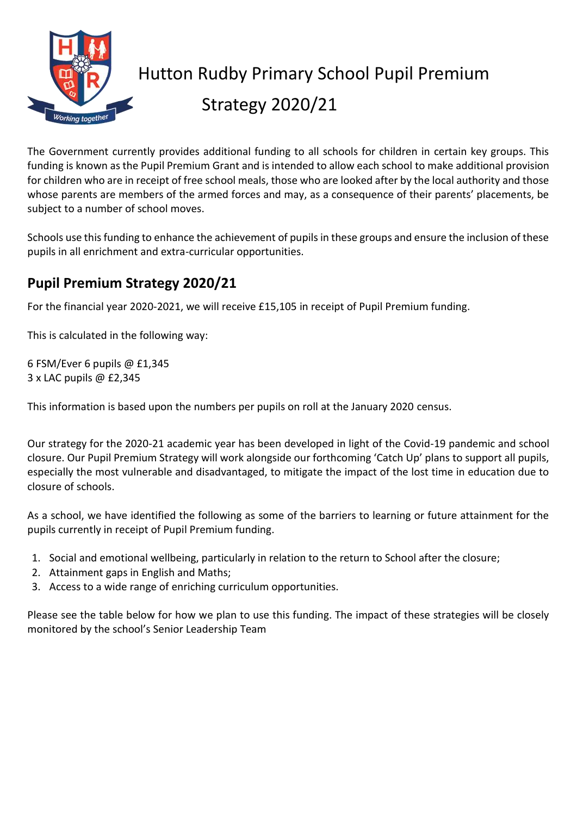

## Hutton Rudby Primary School Pupil Premium Strategy 2020/21

The Government currently provides additional funding to all schools for children in certain key groups. This funding is known as the Pupil Premium Grant and is intended to allow each school to make additional provision for children who are in receipt of free school meals, those who are looked after by the local authority and those whose parents are members of the armed forces and may, as a consequence of their parents' placements, be subject to a number of school moves.

Schools use this funding to enhance the achievement of pupils in these groups and ensure the inclusion of these pupils in all enrichment and extra-curricular opportunities.

## **Pupil Premium Strategy 2020/21**

For the financial year 2020-2021, we will receive £15,105 in receipt of Pupil Premium funding.

This is calculated in the following way:

6 FSM/Ever 6 pupils @ £1,345 3 x LAC pupils @ £2,345

This information is based upon the numbers per pupils on roll at the January 2020 census.

Our strategy for the 2020-21 academic year has been developed in light of the Covid-19 pandemic and school closure. Our Pupil Premium Strategy will work alongside our forthcoming 'Catch Up' plans to support all pupils, especially the most vulnerable and disadvantaged, to mitigate the impact of the lost time in education due to closure of schools.

As a school, we have identified the following as some of the barriers to learning or future attainment for the pupils currently in receipt of Pupil Premium funding.

- 1. Social and emotional wellbeing, particularly in relation to the return to School after the closure;
- 2. Attainment gaps in English and Maths;
- 3. Access to a wide range of enriching curriculum opportunities.

Please see the table below for how we plan to use this funding. The impact of these strategies will be closely monitored by the school's Senior Leadership Team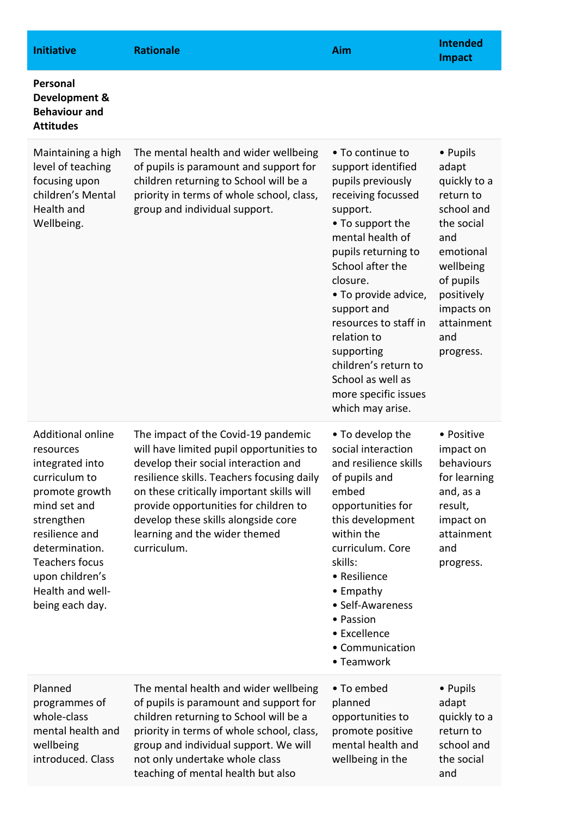| <b>Initiative</b>                                                                                                                                                                                                                                | <b>Rationale</b>                                                                                                                                                                                                                                                                                                                                   | Aim                                                                                                                                                                                                                                                                                                                                                                                | <b>Intended</b><br><b>Impact</b>                                                                                                                                                       |
|--------------------------------------------------------------------------------------------------------------------------------------------------------------------------------------------------------------------------------------------------|----------------------------------------------------------------------------------------------------------------------------------------------------------------------------------------------------------------------------------------------------------------------------------------------------------------------------------------------------|------------------------------------------------------------------------------------------------------------------------------------------------------------------------------------------------------------------------------------------------------------------------------------------------------------------------------------------------------------------------------------|----------------------------------------------------------------------------------------------------------------------------------------------------------------------------------------|
| <b>Personal</b><br>Development &<br><b>Behaviour and</b><br><b>Attitudes</b>                                                                                                                                                                     |                                                                                                                                                                                                                                                                                                                                                    |                                                                                                                                                                                                                                                                                                                                                                                    |                                                                                                                                                                                        |
| Maintaining a high<br>level of teaching<br>focusing upon<br>children's Mental<br>Health and<br>Wellbeing.                                                                                                                                        | The mental health and wider wellbeing<br>of pupils is paramount and support for<br>children returning to School will be a<br>priority in terms of whole school, class,<br>group and individual support.                                                                                                                                            | • To continue to<br>support identified<br>pupils previously<br>receiving focussed<br>support.<br>• To support the<br>mental health of<br>pupils returning to<br>School after the<br>closure.<br>• To provide advice,<br>support and<br>resources to staff in<br>relation to<br>supporting<br>children's return to<br>School as well as<br>more specific issues<br>which may arise. | • Pupils<br>adapt<br>quickly to a<br>return to<br>school and<br>the social<br>and<br>emotional<br>wellbeing<br>of pupils<br>positively<br>impacts on<br>attainment<br>and<br>progress. |
| <b>Additional online</b><br>resources<br>integrated into<br>curriculum to<br>promote growth<br>mind set and<br>strengthen<br>resilience and<br>determination.<br><b>Teachers focus</b><br>upon children's<br>Health and well-<br>being each day. | The impact of the Covid-19 pandemic<br>will have limited pupil opportunities to<br>develop their social interaction and<br>resilience skills. Teachers focusing daily<br>on these critically important skills will<br>provide opportunities for children to<br>develop these skills alongside core<br>learning and the wider themed<br>curriculum. | • To develop the<br>social interaction<br>and resilience skills<br>of pupils and<br>embed<br>opportunities for<br>this development<br>within the<br>curriculum. Core<br>skills:<br>• Resilience<br>• Empathy<br>• Self-Awareness<br>• Passion<br>• Excellence<br>• Communication<br>• Teamwork                                                                                     | • Positive<br>impact on<br>behaviours<br>for learning<br>and, as a<br>result,<br>impact on<br>attainment<br>and<br>progress.                                                           |
| Planned<br>programmes of<br>whole-class<br>mental health and<br>wellbeing<br>introduced. Class                                                                                                                                                   | The mental health and wider wellbeing<br>of pupils is paramount and support for<br>children returning to School will be a<br>priority in terms of whole school, class,<br>group and individual support. We will<br>not only undertake whole class<br>teaching of mental health but also                                                            | • To embed<br>planned<br>opportunities to<br>promote positive<br>mental health and<br>wellbeing in the                                                                                                                                                                                                                                                                             | • Pupils<br>adapt<br>quickly to a<br>return to<br>school and<br>the social<br>and                                                                                                      |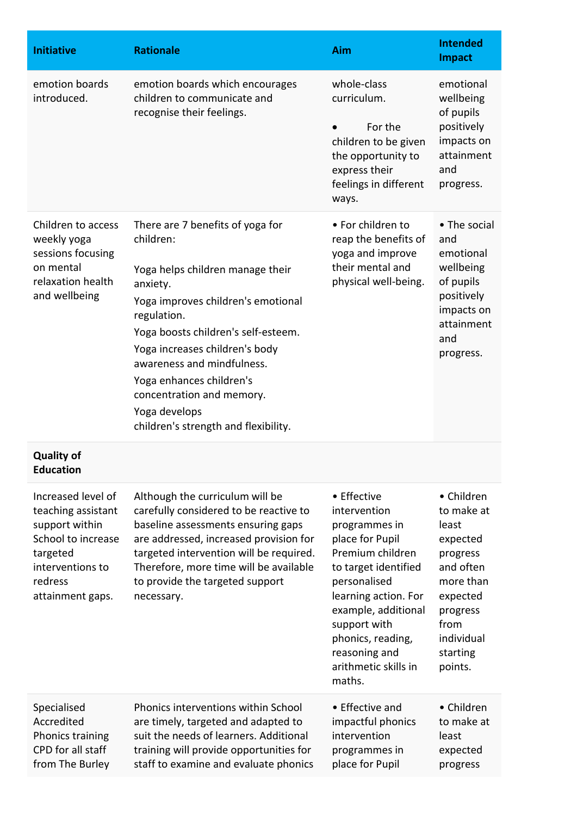| <b>Initiative</b>                                                                                                                               | <b>Rationale</b>                                                                                                                                                                                                                                                                                                                                                            | Aim                                                                                                                                                                                                                                                                | <b>Intended</b><br><b>Impact</b>                                                                                                                         |
|-------------------------------------------------------------------------------------------------------------------------------------------------|-----------------------------------------------------------------------------------------------------------------------------------------------------------------------------------------------------------------------------------------------------------------------------------------------------------------------------------------------------------------------------|--------------------------------------------------------------------------------------------------------------------------------------------------------------------------------------------------------------------------------------------------------------------|----------------------------------------------------------------------------------------------------------------------------------------------------------|
| emotion boards<br>introduced.                                                                                                                   | emotion boards which encourages<br>children to communicate and<br>recognise their feelings.                                                                                                                                                                                                                                                                                 | whole-class<br>curriculum.<br>For the<br>children to be given<br>the opportunity to<br>express their<br>feelings in different<br>ways.                                                                                                                             | emotional<br>wellbeing<br>of pupils<br>positively<br>impacts on<br>attainment<br>and<br>progress.                                                        |
| Children to access<br>weekly yoga<br>sessions focusing<br>on mental<br>relaxation health<br>and wellbeing                                       | There are 7 benefits of yoga for<br>children:<br>Yoga helps children manage their<br>anxiety.<br>Yoga improves children's emotional<br>regulation.<br>Yoga boosts children's self-esteem.<br>Yoga increases children's body<br>awareness and mindfulness.<br>Yoga enhances children's<br>concentration and memory.<br>Yoga develops<br>children's strength and flexibility. | • For children to<br>reap the benefits of<br>yoga and improve<br>their mental and<br>physical well-being.                                                                                                                                                          | • The social<br>and<br>emotional<br>wellbeing<br>of pupils<br>positively<br>impacts on<br>attainment<br>and<br>progress.                                 |
| <b>Quality of</b><br><b>Education</b>                                                                                                           |                                                                                                                                                                                                                                                                                                                                                                             |                                                                                                                                                                                                                                                                    |                                                                                                                                                          |
| Increased level of<br>teaching assistant<br>support within<br>School to increase<br>targeted<br>interventions to<br>redress<br>attainment gaps. | Although the curriculum will be<br>carefully considered to be reactive to<br>baseline assessments ensuring gaps<br>are addressed, increased provision for<br>targeted intervention will be required.<br>Therefore, more time will be available<br>to provide the targeted support<br>necessary.                                                                             | • Effective<br>intervention<br>programmes in<br>place for Pupil<br>Premium children<br>to target identified<br>personalised<br>learning action. For<br>example, additional<br>support with<br>phonics, reading,<br>reasoning and<br>arithmetic skills in<br>maths. | • Children<br>to make at<br>least<br>expected<br>progress<br>and often<br>more than<br>expected<br>progress<br>from<br>individual<br>starting<br>points. |
| Specialised<br>Accredited<br>Phonics training<br>CPD for all staff<br>from The Burley                                                           | Phonics interventions within School<br>are timely, targeted and adapted to<br>suit the needs of learners. Additional<br>training will provide opportunities for<br>staff to examine and evaluate phonics                                                                                                                                                                    | • Effective and<br>impactful phonics<br>intervention<br>programmes in<br>place for Pupil                                                                                                                                                                           | • Children<br>to make at<br>least<br>expected<br>progress                                                                                                |